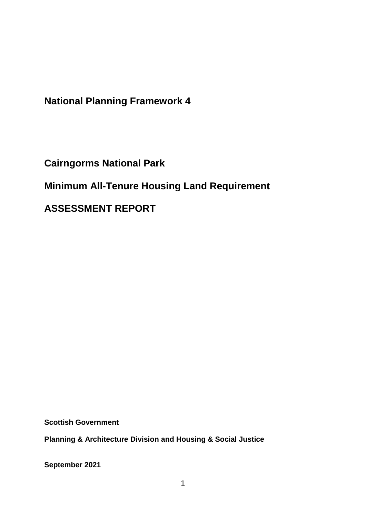**National Planning Framework 4**

**Cairngorms National Park**

**Minimum All-Tenure Housing Land Requirement** 

**ASSESSMENT REPORT**

**Scottish Government**

**Planning & Architecture Division and Housing & Social Justice** 

**September 2021**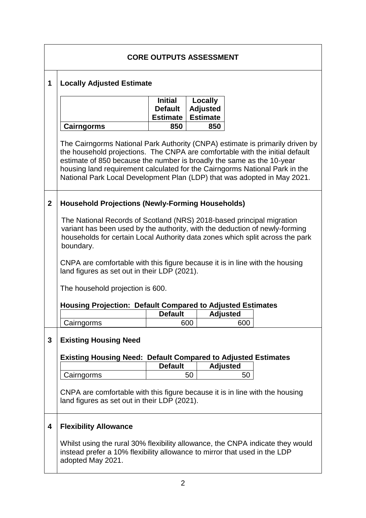|                | <b>CORE OUTPUTS ASSESSMENT</b>                                                                                                                                                                                                                                                                                                                                                                    |                                                     |                                               |                 |  |  |  |
|----------------|---------------------------------------------------------------------------------------------------------------------------------------------------------------------------------------------------------------------------------------------------------------------------------------------------------------------------------------------------------------------------------------------------|-----------------------------------------------------|-----------------------------------------------|-----------------|--|--|--|
| 1              | <b>Locally Adjusted Estimate</b>                                                                                                                                                                                                                                                                                                                                                                  |                                                     |                                               |                 |  |  |  |
|                |                                                                                                                                                                                                                                                                                                                                                                                                   | <b>Initial</b><br><b>Default</b><br><b>Estimate</b> | Locally<br><b>Adjusted</b><br><b>Estimate</b> |                 |  |  |  |
|                | <b>Cairngorms</b>                                                                                                                                                                                                                                                                                                                                                                                 | 850                                                 | 850                                           |                 |  |  |  |
|                | The Cairngorms National Park Authority (CNPA) estimate is primarily driven by<br>the household projections. The CNPA are comfortable with the initial default<br>estimate of 850 because the number is broadly the same as the 10-year<br>housing land requirement calculated for the Cairngorms National Park in the<br>National Park Local Development Plan (LDP) that was adopted in May 2021. |                                                     |                                               |                 |  |  |  |
| $\overline{2}$ | <b>Household Projections (Newly-Forming Households)</b>                                                                                                                                                                                                                                                                                                                                           |                                                     |                                               |                 |  |  |  |
|                | The National Records of Scotland (NRS) 2018-based principal migration<br>variant has been used by the authority, with the deduction of newly-forming<br>households for certain Local Authority data zones which split across the park<br>boundary.                                                                                                                                                |                                                     |                                               |                 |  |  |  |
|                | CNPA are comfortable with this figure because it is in line with the housing<br>land figures as set out in their LDP (2021).                                                                                                                                                                                                                                                                      |                                                     |                                               |                 |  |  |  |
|                | The household projection is 600.                                                                                                                                                                                                                                                                                                                                                                  |                                                     |                                               |                 |  |  |  |
|                | <b>Housing Projection: Default Compared to Adjusted Estimates</b>                                                                                                                                                                                                                                                                                                                                 |                                                     |                                               |                 |  |  |  |
|                |                                                                                                                                                                                                                                                                                                                                                                                                   | <b>Default</b>                                      |                                               | <b>Adjusted</b> |  |  |  |
|                | Cairngorms                                                                                                                                                                                                                                                                                                                                                                                        |                                                     | 600                                           | 600             |  |  |  |
| $\mathbf{3}$   | <b>Existing Housing Need</b>                                                                                                                                                                                                                                                                                                                                                                      |                                                     |                                               |                 |  |  |  |
|                | <b>Existing Housing Need: Default Compared to Adjusted Estimates</b>                                                                                                                                                                                                                                                                                                                              |                                                     |                                               |                 |  |  |  |
|                |                                                                                                                                                                                                                                                                                                                                                                                                   | <b>Default</b>                                      |                                               | <b>Adjusted</b> |  |  |  |
|                | Cairngorms                                                                                                                                                                                                                                                                                                                                                                                        |                                                     | 50                                            | 50              |  |  |  |
|                | CNPA are comfortable with this figure because it is in line with the housing<br>land figures as set out in their LDP (2021).                                                                                                                                                                                                                                                                      |                                                     |                                               |                 |  |  |  |
| 4              | <b>Flexibility Allowance</b>                                                                                                                                                                                                                                                                                                                                                                      |                                                     |                                               |                 |  |  |  |
|                | Whilst using the rural 30% flexibility allowance, the CNPA indicate they would<br>instead prefer a 10% flexibility allowance to mirror that used in the LDP<br>adopted May 2021.                                                                                                                                                                                                                  |                                                     |                                               |                 |  |  |  |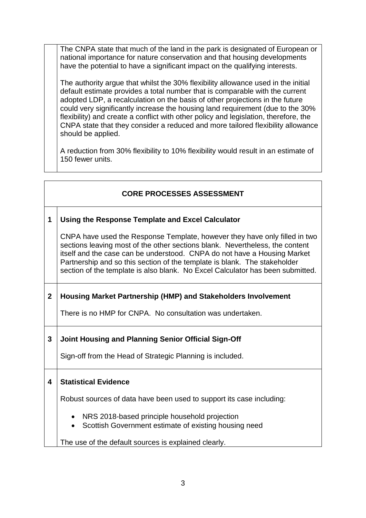The CNPA state that much of the land in the park is designated of European or national importance for nature conservation and that housing developments have the potential to have a significant impact on the qualifying interests.

The authority argue that whilst the 30% flexibility allowance used in the initial default estimate provides a total number that is comparable with the current adopted LDP, a recalculation on the basis of other projections in the future could very significantly increase the housing land requirement (due to the 30% flexibility) and create a conflict with other policy and legislation, therefore, the CNPA state that they consider a reduced and more tailored flexibility allowance should be applied.

A reduction from 30% flexibility to 10% flexibility would result in an estimate of 150 fewer units.

## **CORE PROCESSES ASSESSMENT**

### **1 Using the Response Template and Excel Calculator**

CNPA have used the Response Template, however they have only filled in two sections leaving most of the other sections blank. Nevertheless, the content itself and the case can be understood. CNPA do not have a Housing Market Partnership and so this section of the template is blank. The stakeholder section of the template is also blank. No Excel Calculator has been submitted.

# **2 Housing Market Partnership (HMP) and Stakeholders Involvement**

There is no HMP for CNPA. No consultation was undertaken.

### **3 Joint Housing and Planning Senior Official Sign-Off**

Sign-off from the Head of Strategic Planning is included.

#### **4 Statistical Evidence**

Robust sources of data have been used to support its case including:

- NRS 2018-based principle household projection
- Scottish Government estimate of existing housing need

The use of the default sources is explained clearly.